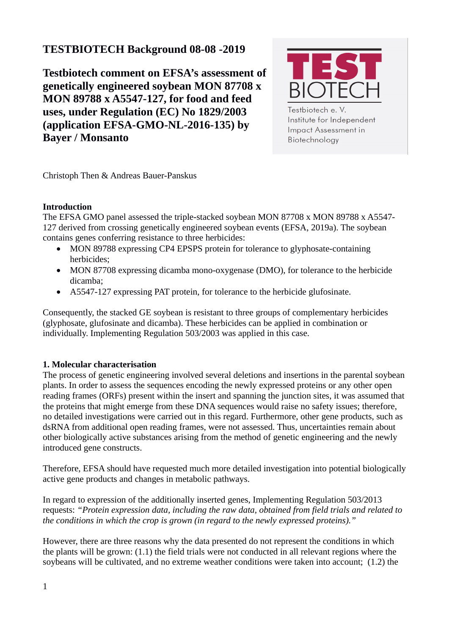# **TESTBIOTECH Background 08-08 -2019**

**Testbiotech comment on EFSA's assessment of genetically engineered soybean MON 87708 x MON 89788 x A5547-127, for food and feed uses, under Regulation (EC) No 1829/2003 (application EFSA-GMO-NL-2016-135) by Bayer / Monsanto** 



Testbiotech e.V. Institute for Independent Impact Assessment in Biotechnology

Christoph Then & Andreas Bauer-Panskus

# **Introduction**

The EFSA GMO panel assessed the triple-stacked soybean MON 87708 x MON 89788 x A5547- 127 derived from crossing genetically engineered soybean events (EFSA, 2019a). The soybean contains genes conferring resistance to three herbicides:

- MON 89788 expressing CP4 EPSPS protein for tolerance to glyphosate-containing herbicides;
- MON 87708 expressing dicamba mono-oxygenase (DMO), for tolerance to the herbicide dicamba;
- A5547-127 expressing PAT protein, for tolerance to the herbicide glufosinate.

Consequently, the stacked GE soybean is resistant to three groups of complementary herbicides (glyphosate, glufosinate and dicamba). These herbicides can be applied in combination or individually. Implementing Regulation 503/2003 was applied in this case.

## **1. Molecular characterisation**

The process of genetic engineering involved several deletions and insertions in the parental soybean plants. In order to assess the sequences encoding the newly expressed proteins or any other open reading frames (ORFs) present within the insert and spanning the junction sites, it was assumed that the proteins that might emerge from these DNA sequences would raise no safety issues; therefore, no detailed investigations were carried out in this regard. Furthermore, other gene products, such as dsRNA from additional open reading frames, were not assessed. Thus, uncertainties remain about other biologically active substances arising from the method of genetic engineering and the newly introduced gene constructs.

Therefore, EFSA should have requested much more detailed investigation into potential biologically active gene products and changes in metabolic pathways.

In regard to expression of the additionally inserted genes, Implementing Regulation 503/2013 requests: *"Protein expression data, including the raw data, obtained from field trials and related to the conditions in which the crop is grown (in regard to the newly expressed proteins)."*

However, there are three reasons why the data presented do not represent the conditions in which the plants will be grown: (1.1) the field trials were not conducted in all relevant regions where the soybeans will be cultivated, and no extreme weather conditions were taken into account; (1.2) the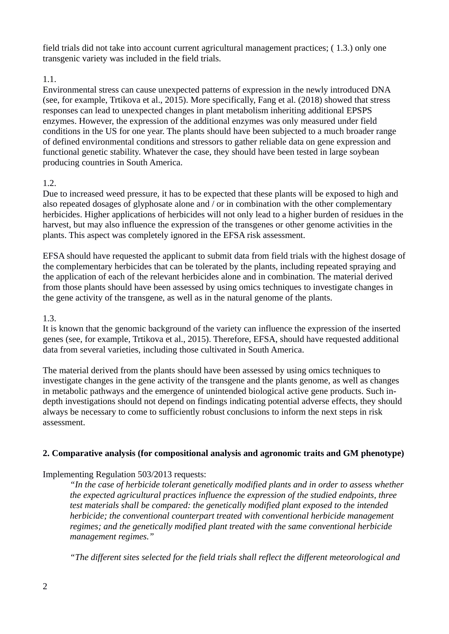field trials did not take into account current agricultural management practices; ( 1.3.) only one transgenic variety was included in the field trials.

# 1.1.

Environmental stress can cause unexpected patterns of expression in the newly introduced DNA (see, for example, Trtikova et al., 2015). More specifically, Fang et al. (2018) showed that stress responses can lead to unexpected changes in plant metabolism inheriting additional EPSPS enzymes. However, the expression of the additional enzymes was only measured under field conditions in the US for one year. The plants should have been subjected to a much broader range of defined environmental conditions and stressors to gather reliable data on gene expression and functional genetic stability. Whatever the case, they should have been tested in large soybean producing countries in South America.

## 1.2.

Due to increased weed pressure, it has to be expected that these plants will be exposed to high and also repeated dosages of glyphosate alone and / or in combination with the other complementary herbicides. Higher applications of herbicides will not only lead to a higher burden of residues in the harvest, but may also influence the expression of the transgenes or other genome activities in the plants. This aspect was completely ignored in the EFSA risk assessment.

EFSA should have requested the applicant to submit data from field trials with the highest dosage of the complementary herbicides that can be tolerated by the plants, including repeated spraying and the application of each of the relevant herbicides alone and in combination. The material derived from those plants should have been assessed by using omics techniques to investigate changes in the gene activity of the transgene, as well as in the natural genome of the plants.

#### 1.3.

It is known that the genomic background of the variety can influence the expression of the inserted genes (see, for example, Trtikova et al., 2015). Therefore, EFSA, should have requested additional data from several varieties, including those cultivated in South America.

The material derived from the plants should have been assessed by using omics techniques to investigate changes in the gene activity of the transgene and the plants genome, as well as changes in metabolic pathways and the emergence of unintended biological active gene products. Such indepth investigations should not depend on findings indicating potential adverse effects, they should always be necessary to come to sufficiently robust conclusions to inform the next steps in risk assessment.

## **2. Comparative analysis (for compositional analysis and agronomic traits and GM phenotype)**

Implementing Regulation 503/2013 requests:

*"In the case of herbicide tolerant genetically modified plants and in order to assess whether the expected agricultural practices influence the expression of the studied endpoints, three test materials shall be compared: the genetically modified plant exposed to the intended herbicide; the conventional counterpart treated with conventional herbicide management regimes; and the genetically modified plant treated with the same conventional herbicide management regimes."*

*"The different sites selected for the field trials shall reflect the different meteorological and*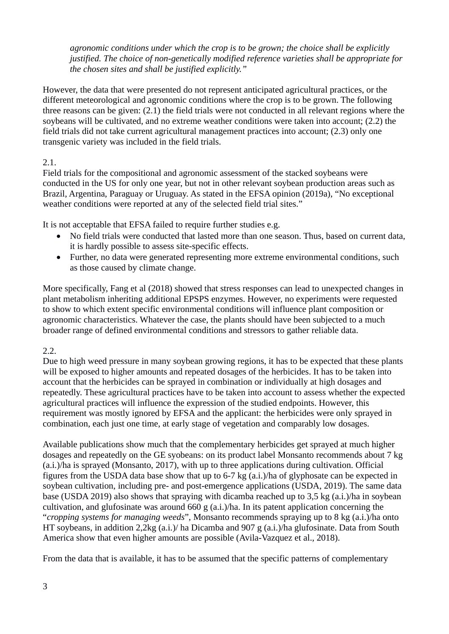*agronomic conditions under which the crop is to be grown; the choice shall be explicitly justified. The choice of non-genetically modified reference varieties shall be appropriate for the chosen sites and shall be justified explicitly."* 

However, the data that were presented do not represent anticipated agricultural practices, or the different meteorological and agronomic conditions where the crop is to be grown. The following three reasons can be given: (2.1) the field trials were not conducted in all relevant regions where the soybeans will be cultivated, and no extreme weather conditions were taken into account; (2.2) the field trials did not take current agricultural management practices into account; (2.3) only one transgenic variety was included in the field trials.

# 2.1.

Field trials for the compositional and agronomic assessment of the stacked soybeans were conducted in the US for only one year, but not in other relevant soybean production areas such as Brazil, Argentina, Paraguay or Uruguay. As stated in the EFSA opinion (2019a), "No exceptional weather conditions were reported at any of the selected field trial sites."

It is not acceptable that EFSA failed to require further studies e.g.

- No field trials were conducted that lasted more than one season. Thus, based on current data, it is hardly possible to assess site-specific effects.
- Further, no data were generated representing more extreme environmental conditions, such as those caused by climate change.

More specifically, Fang et al (2018) showed that stress responses can lead to unexpected changes in plant metabolism inheriting additional EPSPS enzymes. However, no experiments were requested to show to which extent specific environmental conditions will influence plant composition or agronomic characteristics. Whatever the case, the plants should have been subjected to a much broader range of defined environmental conditions and stressors to gather reliable data.

## 2.2.

Due to high weed pressure in many soybean growing regions, it has to be expected that these plants will be exposed to higher amounts and repeated dosages of the herbicides. It has to be taken into account that the herbicides can be sprayed in combination or individually at high dosages and repeatedly. These agricultural practices have to be taken into account to assess whether the expected agricultural practices will influence the expression of the studied endpoints. However, this requirement was mostly ignored by EFSA and the applicant: the herbicides were only sprayed in combination, each just one time, at early stage of vegetation and comparably low dosages.

Available publications show much that the complementary herbicides get sprayed at much higher dosages and repeatedly on the GE syobeans: on its product label Monsanto recommends about 7 kg (a.i.)/ha is sprayed (Monsanto, 2017), with up to three applications during cultivation. Official figures from the USDA data base show that up to 6-7 kg (a.i.)/ha of glyphosate can be expected in soybean cultivation, including pre- and post-emergence applications (USDA, 2019). The same data base (USDA 2019) also shows that spraying with dicamba reached up to 3,5 kg (a.i.)/ha in soybean cultivation, and glufosinate was around 660 g (a.i.)/ha. In its patent application concerning the "*cropping systems for managing weeds*", Monsanto recommends spraying up to 8 kg (a.i.)/ha onto HT soybeans, in addition 2,2kg (a.i.)/ ha Dicamba and 907 g (a.i.)/ha glufosinate. Data from South America show that even higher amounts are possible (Avila-Vazquez et al., 2018).

From the data that is available, it has to be assumed that the specific patterns of complementary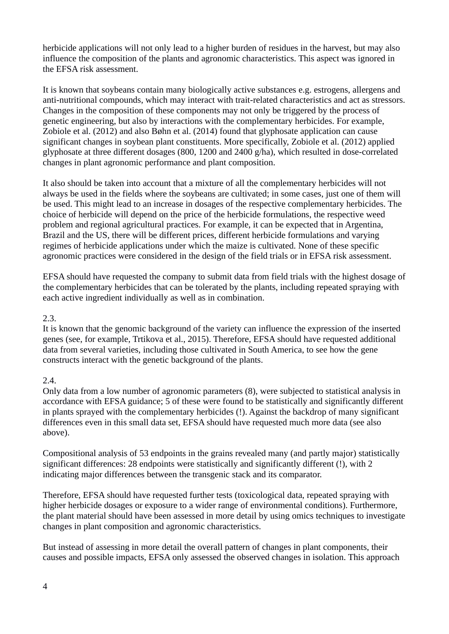herbicide applications will not only lead to a higher burden of residues in the harvest, but may also influence the composition of the plants and agronomic characteristics. This aspect was ignored in the EFSA risk assessment.

It is known that soybeans contain many biologically active substances e.g. estrogens, allergens and anti-nutritional compounds, which may interact with trait-related characteristics and act as stressors. Changes in the composition of these components may not only be triggered by the process of genetic engineering, but also by interactions with the complementary herbicides. For example, Zobiole et al. (2012) and also Bøhn et al. (2014) found that glyphosate application can cause significant changes in soybean plant constituents. More specifically, Zobiole et al. (2012) applied glyphosate at three different dosages (800, 1200 and 2400 g/ha), which resulted in dose-correlated changes in plant agronomic performance and plant composition.

It also should be taken into account that a mixture of all the complementary herbicides will not always be used in the fields where the soybeans are cultivated; in some cases, just one of them will be used. This might lead to an increase in dosages of the respective complementary herbicides. The choice of herbicide will depend on the price of the herbicide formulations, the respective weed problem and regional agricultural practices. For example, it can be expected that in Argentina, Brazil and the US, there will be different prices, different herbicide formulations and varying regimes of herbicide applications under which the maize is cultivated. None of these specific agronomic practices were considered in the design of the field trials or in EFSA risk assessment.

EFSA should have requested the company to submit data from field trials with the highest dosage of the complementary herbicides that can be tolerated by the plants, including repeated spraying with each active ingredient individually as well as in combination.

#### 2.3.

It is known that the genomic background of the variety can influence the expression of the inserted genes (see, for example, Trtikova et al., 2015). Therefore, EFSA should have requested additional data from several varieties, including those cultivated in South America, to see how the gene constructs interact with the genetic background of the plants.

## 2.4.

Only data from a low number of agronomic parameters (8), were subjected to statistical analysis in accordance with EFSA guidance; 5 of these were found to be statistically and significantly different in plants sprayed with the complementary herbicides (!). Against the backdrop of many significant differences even in this small data set, EFSA should have requested much more data (see also above).

Compositional analysis of 53 endpoints in the grains revealed many (and partly major) statistically significant differences: 28 endpoints were statistically and significantly different (!), with 2 indicating major differences between the transgenic stack and its comparator.

Therefore, EFSA should have requested further tests (toxicological data, repeated spraying with higher herbicide dosages or exposure to a wider range of environmental conditions). Furthermore, the plant material should have been assessed in more detail by using omics techniques to investigate changes in plant composition and agronomic characteristics.

But instead of assessing in more detail the overall pattern of changes in plant components, their causes and possible impacts, EFSA only assessed the observed changes in isolation. This approach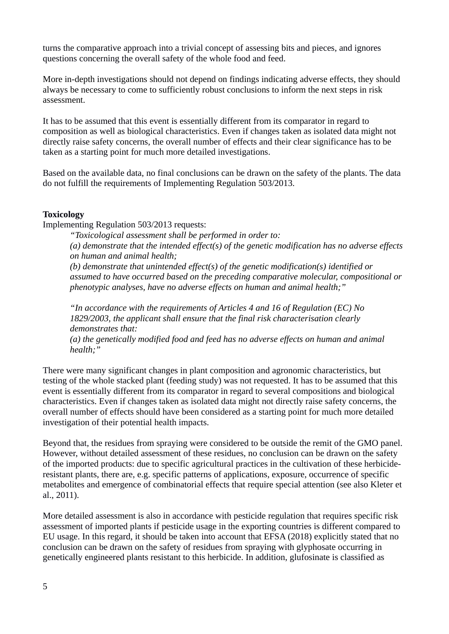turns the comparative approach into a trivial concept of assessing bits and pieces, and ignores questions concerning the overall safety of the whole food and feed.

More in-depth investigations should not depend on findings indicating adverse effects, they should always be necessary to come to sufficiently robust conclusions to inform the next steps in risk assessment.

It has to be assumed that this event is essentially different from its comparator in regard to composition as well as biological characteristics. Even if changes taken as isolated data might not directly raise safety concerns, the overall number of effects and their clear significance has to be taken as a starting point for much more detailed investigations.

Based on the available data, no final conclusions can be drawn on the safety of the plants. The data do not fulfill the requirements of Implementing Regulation 503/2013.

#### **Toxicology**

Implementing Regulation 503/2013 requests:

*"Toxicological assessment shall be performed in order to:*

*(a) demonstrate that the intended effect(s) of the genetic modification has no adverse effects on human and animal health;*

*(b) demonstrate that unintended effect(s) of the genetic modification(s) identified or assumed to have occurred based on the preceding comparative molecular, compositional or phenotypic analyses, have no adverse effects on human and animal health;"* 

*"In accordance with the requirements of Articles 4 and 16 of Regulation (EC) No 1829/2003, the applicant shall ensure that the final risk characterisation clearly demonstrates that:*

*(a) the genetically modified food and feed has no adverse effects on human and animal health;"* 

There were many significant changes in plant composition and agronomic characteristics, but testing of the whole stacked plant (feeding study) was not requested. It has to be assumed that this event is essentially different from its comparator in regard to several compositions and biological characteristics. Even if changes taken as isolated data might not directly raise safety concerns, the overall number of effects should have been considered as a starting point for much more detailed investigation of their potential health impacts.

Beyond that, the residues from spraying were considered to be outside the remit of the GMO panel. However, without detailed assessment of these residues, no conclusion can be drawn on the safety of the imported products: due to specific agricultural practices in the cultivation of these herbicideresistant plants, there are, e.g. specific patterns of applications, exposure, occurrence of specific metabolites and emergence of combinatorial effects that require special attention (see also Kleter et al., 2011).

More detailed assessment is also in accordance with pesticide regulation that requires specific risk assessment of imported plants if pesticide usage in the exporting countries is different compared to EU usage. In this regard, it should be taken into account that EFSA (2018) explicitly stated that no conclusion can be drawn on the safety of residues from spraying with glyphosate occurring in genetically engineered plants resistant to this herbicide. In addition, glufosinate is classified as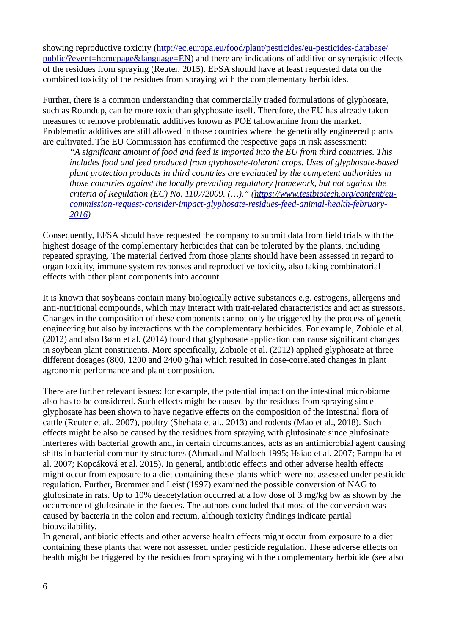showing reproductive toxicity ([http://ec.europa.eu/food/plant/pesticides/eu-pesticides-database/](http://ec.europa.eu/food/plant/pesticides/eu-pesticides-database/public/?event=homepage&language=EN) [public/?event=homepage&language=EN\)](http://ec.europa.eu/food/plant/pesticides/eu-pesticides-database/public/?event=homepage&language=EN) and there are indications of additive or synergistic effects of the residues from spraying (Reuter, 2015). EFSA should have at least requested data on the combined toxicity of the residues from spraying with the complementary herbicides.

Further, there is a common understanding that commercially traded formulations of glyphosate, such as Roundup, can be more toxic than glyphosate itself. Therefore, the EU has already taken measures to remove problematic additives known as POE tallowamine from the market. Problematic additives are still allowed in those countries where the genetically engineered plants are cultivated.The EU Commission has confirmed the respective gaps in risk assessment:

*"A significant amount of food and feed is imported into the EU from third countries. This includes food and feed produced from glyphosate-tolerant crops. Uses of glyphosate-based plant protection products in third countries are evaluated by the competent authorities in those countries against the locally prevailing regulatory framework, but not against the criteria of Regulation (EC) No. 1107/2009. (…)." [\(https://www.testbiotech.org/content/eu](https://www.testbiotech.org/content/eu-commission-request-consider-impact-glyphosate-residues-feed-animal-health-february-2016)[commission-request-consider-impact-glyphosate-residues-feed-animal-health-february-](https://www.testbiotech.org/content/eu-commission-request-consider-impact-glyphosate-residues-feed-animal-health-february-2016)[2016](https://www.testbiotech.org/content/eu-commission-request-consider-impact-glyphosate-residues-feed-animal-health-february-2016))*

Consequently, EFSA should have requested the company to submit data from field trials with the highest dosage of the complementary herbicides that can be tolerated by the plants, including repeated spraying. The material derived from those plants should have been assessed in regard to organ toxicity, immune system responses and reproductive toxicity, also taking combinatorial effects with other plant components into account.

It is known that soybeans contain many biologically active substances e.g. estrogens, allergens and anti-nutritional compounds, which may interact with trait-related characteristics and act as stressors. Changes in the composition of these components cannot only be triggered by the process of genetic engineering but also by interactions with the complementary herbicides. For example, Zobiole et al. (2012) and also Bøhn et al. (2014) found that glyphosate application can cause significant changes in soybean plant constituents. More specifically, Zobiole et al. (2012) applied glyphosate at three different dosages (800, 1200 and 2400 g/ha) which resulted in dose-correlated changes in plant agronomic performance and plant composition.

There are further relevant issues: for example, the potential impact on the intestinal microbiome also has to be considered. Such effects might be caused by the residues from spraying since glyphosate has been shown to have negative effects on the composition of the intestinal flora of cattle (Reuter et al., 2007), poultry (Shehata et al., 2013) and rodents (Mao et al., 2018). Such effects might be also be caused by the residues from spraying with glufosinate since glufosinate interferes with bacterial growth and, in certain circumstances, acts as an antimicrobial agent causing shifts in bacterial community structures (Ahmad and Malloch 1995; Hsiao et al. 2007; Pampulha et al. 2007; Kopcáková et al. 2015). In general, antibiotic effects and other adverse health effects might occur from exposure to a diet containing these plants which were not assessed under pesticide regulation. Further, Bremmer and Leist (1997) examined the possible conversion of NAG to glufosinate in rats. Up to 10% deacetylation occurred at a low dose of 3 mg/kg bw as shown by the occurrence of glufosinate in the faeces. The authors concluded that most of the conversion was caused by bacteria in the colon and rectum, although toxicity findings indicate partial bioavailability.

In general, antibiotic effects and other adverse health effects might occur from exposure to a diet containing these plants that were not assessed under pesticide regulation. These adverse effects on health might be triggered by the residues from spraying with the complementary herbicide (see also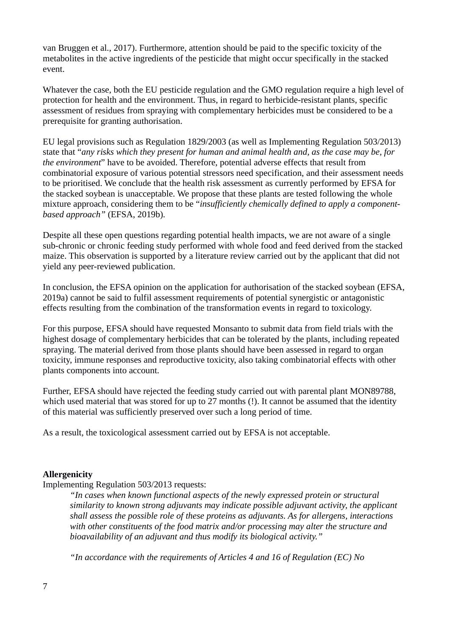van Bruggen et al., 2017). Furthermore, attention should be paid to the specific toxicity of the metabolites in the active ingredients of the pesticide that might occur specifically in the stacked event.

Whatever the case, both the EU pesticide regulation and the GMO regulation require a high level of protection for health and the environment. Thus, in regard to herbicide-resistant plants, specific assessment of residues from spraying with complementary herbicides must be considered to be a prerequisite for granting authorisation.

EU legal provisions such as Regulation 1829/2003 (as well as Implementing Regulation 503/2013) state that "*any risks which they present for human and animal health and, as the case may be, for the environment*" have to be avoided. Therefore, potential adverse effects that result from combinatorial exposure of various potential stressors need specification, and their assessment needs to be prioritised. We conclude that the health risk assessment as currently performed by EFSA for the stacked soybean is unacceptable. We propose that these plants are tested following the whole mixture approach, considering them to be "*insufficiently chemically defined to apply a componentbased approach"* (EFSA, 2019b)*.*

Despite all these open questions regarding potential health impacts, we are not aware of a single sub-chronic or chronic feeding study performed with whole food and feed derived from the stacked maize. This observation is supported by a literature review carried out by the applicant that did not yield any peer-reviewed publication.

In conclusion, the EFSA opinion on the application for authorisation of the stacked soybean (EFSA, 2019a) cannot be said to fulfil assessment requirements of potential synergistic or antagonistic effects resulting from the combination of the transformation events in regard to toxicology.

For this purpose, EFSA should have requested Monsanto to submit data from field trials with the highest dosage of complementary herbicides that can be tolerated by the plants, including repeated spraying. The material derived from those plants should have been assessed in regard to organ toxicity, immune responses and reproductive toxicity, also taking combinatorial effects with other plants components into account.

Further, EFSA should have rejected the feeding study carried out with parental plant MON89788, which used material that was stored for up to 27 months (!). It cannot be assumed that the identity of this material was sufficiently preserved over such a long period of time.

As a result, the toxicological assessment carried out by EFSA is not acceptable.

#### **Allergenicity**

Implementing Regulation 503/2013 requests:

*"In cases when known functional aspects of the newly expressed protein or structural similarity to known strong adjuvants may indicate possible adjuvant activity, the applicant shall assess the possible role of these proteins as adjuvants. As for allergens, interactions with other constituents of the food matrix and/or processing may alter the structure and bioavailability of an adjuvant and thus modify its biological activity."* 

*"In accordance with the requirements of Articles 4 and 16 of Regulation (EC) No*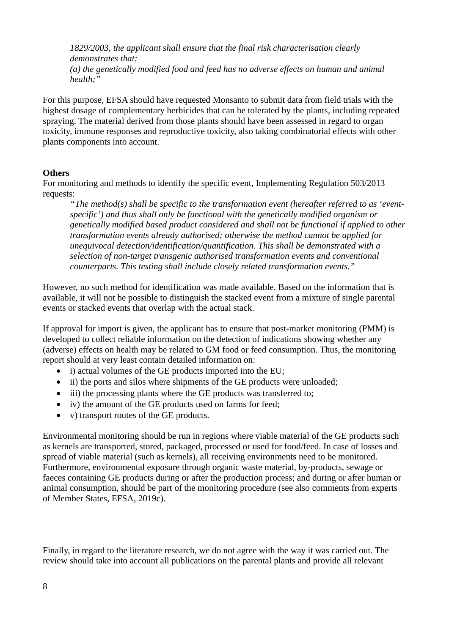*1829/2003, the applicant shall ensure that the final risk characterisation clearly demonstrates that: (a) the genetically modified food and feed has no adverse effects on human and animal health;"* 

For this purpose, EFSA should have requested Monsanto to submit data from field trials with the highest dosage of complementary herbicides that can be tolerated by the plants, including repeated spraying. The material derived from those plants should have been assessed in regard to organ toxicity, immune responses and reproductive toxicity, also taking combinatorial effects with other plants components into account.

#### **Others**

For monitoring and methods to identify the specific event, Implementing Regulation 503/2013 requests:

*"The method(s) shall be specific to the transformation event (hereafter referred to as 'eventspecific') and thus shall only be functional with the genetically modified organism or genetically modified based product considered and shall not be functional if applied to other transformation events already authorised; otherwise the method cannot be applied for unequivocal detection/identification/quantification. This shall be demonstrated with a selection of non-target transgenic authorised transformation events and conventional counterparts. This testing shall include closely related transformation events."*

However, no such method for identification was made available. Based on the information that is available, it will not be possible to distinguish the stacked event from a mixture of single parental events or stacked events that overlap with the actual stack.

If approval for import is given, the applicant has to ensure that post-market monitoring (PMM) is developed to collect reliable information on the detection of indications showing whether any (adverse) effects on health may be related to GM food or feed consumption. Thus, the monitoring report should at very least contain detailed information on:

- i) actual volumes of the GE products imported into the EU;
- ii) the ports and silos where shipments of the GE products were unloaded;
- iii) the processing plants where the GE products was transferred to;
- iv) the amount of the GE products used on farms for feed;
- v) transport routes of the GE products.

Environmental monitoring should be run in regions where viable material of the GE products such as kernels are transported, stored, packaged, processed or used for food/feed. In case of losses and spread of viable material (such as kernels), all receiving environments need to be monitored. Furthermore, environmental exposure through organic waste material, by-products, sewage or faeces containing GE products during or after the production process; and during or after human or animal consumption, should be part of the monitoring procedure (see also comments from experts of Member States, EFSA, 2019c).

Finally, in regard to the literature research, we do not agree with the way it was carried out. The review should take into account all publications on the parental plants and provide all relevant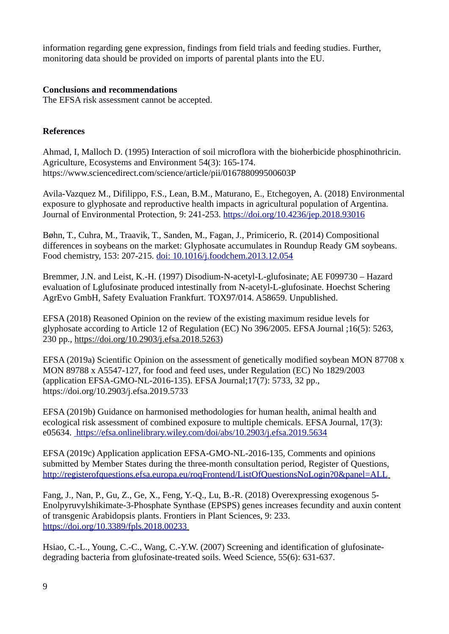information regarding gene expression, findings from field trials and feeding studies. Further, monitoring data should be provided on imports of parental plants into the EU.

#### **Conclusions and recommendations**

The EFSA risk assessment cannot be accepted.

## **References**

Ahmad, I, Malloch D. (1995) Interaction of soil microflora with the bioherbicide phosphinothricin. Agriculture, Ecosystems and Environment 54(3): 165-174. https://www.sciencedirect.com/science/article/pii/016788099500603P

Avila-Vazquez M., Difilippo, F.S., Lean, B.M., Maturano, E., Etchegoyen, A. (2018) Environmental exposure to glyphosate and reproductive health impacts in agricultural population of Argentina. Journal of Environmental Protection, 9: 241-253.<https://doi.org/10.4236/jep.2018.93016>

Bøhn, T., Cuhra, M., Traavik, T., Sanden, M., Fagan, J., Primicerio, R. (2014) Compositional differences in soybeans on the market: Glyphosate accumulates in Roundup Ready GM soybeans. Food chemistry, 153: 207-215. [doi: 10.1016/j.foodchem.2013.12.054](https://doi.org/10.1016/j.foodchem.2013.12.054)

Bremmer, J.N. and Leist, K.-H. (1997) Disodium-N-acetyl-L-glufosinate; AE F099730 – Hazard evaluation of Lglufosinate produced intestinally from N-acetyl-L-glufosinate. Hoechst Schering AgrEvo GmbH, Safety Evaluation Frankfurt. TOX97/014. A58659. Unpublished.

EFSA (2018) Reasoned Opinion on the review of the existing maximum residue levels for glyphosate according to Article 12 of Regulation (EC) No 396/2005. EFSA Journal ;16(5): 5263, 230 pp., [https://doi.org/10.2903/j.efsa.2018.5263\)](https://doi.org/10.2903/j.efsa.2018.5263)

EFSA (2019a) Scientific Opinion on the assessment of genetically modified soybean MON 87708 x MON 89788 x A5547-127, for food and feed uses, under Regulation (EC) No 1829/2003 (application EFSA-GMO-NL-2016-135). EFSA Journal;17(7): 5733, 32 pp., https://doi.org/10.2903/j.efsa.2019.5733

EFSA (2019b) Guidance on harmonised methodologies for human health, animal health and ecological risk assessment of combined exposure to multiple chemicals. EFSA Journal, 17(3): e05634. https://efsa.onlinelibrary.wiley.com/doi/abs/10.2903/j.efsa.2019.5634

EFSA (2019c) Application application EFSA-GMO-NL-2016-135, Comments and opinions submitted by Member States during the three-month consultation period, Register of Questions, <http://registerofquestions.efsa.europa.eu/roqFrontend/ListOfQuestionsNoLogin?0&panel=ALL>

Fang, J., Nan, P., Gu, Z., Ge, X., Feng, Y.-Q., Lu, B.-R. (2018) Overexpressing exogenous 5- Enolpyruvylshikimate-3-Phosphate Synthase (EPSPS) genes increases fecundity and auxin content of transgenic Arabidopsis plants. Frontiers in Plant Sciences, 9: 233. <https://doi.org/10.3389/fpls.2018.00233>

Hsiao, C.-L., Young, C.-C., Wang, C.-Y.W. (2007) Screening and identification of glufosinatedegrading bacteria from glufosinate-treated soils. Weed Science, 55(6): 631-637.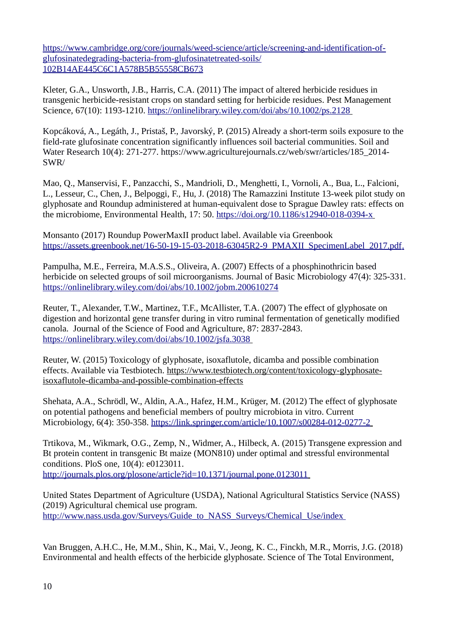[https://www.cambridge.org/core/journals/weed-science/article/screening-and-identification-of](https://www.cambridge.org/core/journals/weed-science/article/screening-and-identification-of-glufosinatedegrading-bacteria-from-glufosinatetreated-soils/102B14AE445C6C1A578B5B55558CB673)[glufosinatedegrading-bacteria-from-glufosinatetreated-soils/](https://www.cambridge.org/core/journals/weed-science/article/screening-and-identification-of-glufosinatedegrading-bacteria-from-glufosinatetreated-soils/102B14AE445C6C1A578B5B55558CB673) [102B14AE445C6C1A578B5B55558CB673](https://www.cambridge.org/core/journals/weed-science/article/screening-and-identification-of-glufosinatedegrading-bacteria-from-glufosinatetreated-soils/102B14AE445C6C1A578B5B55558CB673)

Kleter, G.A., Unsworth, J.B., Harris, C.A. (2011) The impact of altered herbicide residues in transgenic herbicide-resistant crops on standard setting for herbicide residues. Pest Management Science, 67(10): 1193-1210. <https://onlinelibrary.wiley.com/doi/abs/10.1002/ps.2128>

Kopcáková, A., Legáth, J., Pristaš, P., Javorský, P. (2015) Already a short-term soils exposure to the field-rate glufosinate concentration significantly influences soil bacterial communities. Soil and Water Research 10(4): 271-277. https://www.agriculturejournals.cz/web/swr/articles/185\_2014- SWR/

Mao, Q., Manservisi, F., Panzacchi, S., Mandrioli, D., Menghetti, I., Vornoli, A., Bua, L., Falcioni, L., Lesseur, C., Chen, J., Belpoggi, F., Hu, J. (2018) The Ramazzini Institute 13-week pilot study on glyphosate and Roundup administered at human-equivalent dose to Sprague Dawley rats: effects on the microbiome, Environmental Health, 17: 50.<https://doi.org/10.1186/s12940-018-0394-x>

Monsanto (2017) Roundup PowerMaxII product label. Available via Greenbook https://assets.greenbook.net/16-50-19-15-03-2018-63045R2-9\_PMAXII\_SpecimenLabel\_2017.pdf.

Pampulha, M.E., Ferreira, M.A.S.S., Oliveira, A. (2007) Effects of a phosphinothricin based herbicide on selected groups of soil microorganisms. Journal of Basic Microbiology 47(4): 325-331. <https://onlinelibrary.wiley.com/doi/abs/10.1002/jobm.200610274>

Reuter, T., Alexander, T.W., Martinez, T.F., McAllister, T.A. (2007) The effect of glyphosate on digestion and horizontal gene transfer during in vitro ruminal fermentation of genetically modified canola. Journal of the Science of Food and Agriculture, 87: 2837-2843. <https://onlinelibrary.wiley.com/doi/abs/10.1002/jsfa.3038>

Reuter, W. (2015) Toxicology of glyphosate, isoxaflutole, dicamba and possible combination effects. Available via Testbiotech. [https://www.testbiotech.org/content/toxicology-glyphosate](https://www.testbiotech.org/content/toxicology-glyphosate-isoxaflutole-dicamba-and-possible-combination-effects)[isoxaflutole-dicamba-and-possible-combination-effects](https://www.testbiotech.org/content/toxicology-glyphosate-isoxaflutole-dicamba-and-possible-combination-effects)

Shehata, A.A., Schrödl, W., Aldin, A.A., Hafez, H.M., Krüger, M. (2012) The effect of glyphosate on potential pathogens and beneficial members of poultry microbiota in vitro. Current Microbiology, 6(4): 350-358.<https://link.springer.com/article/10.1007/s00284-012-0277-2>

Trtikova, M., Wikmark, O.G., Zemp, N., Widmer, A., Hilbeck, A. (2015) Transgene expression and Bt protein content in transgenic Bt maize (MON810) under optimal and stressful environmental conditions. PloS one, 10(4): e0123011. <http://journals.plos.org/plosone/article?id=10.1371/journal.pone.0123011>

United States Department of Agriculture (USDA), National Agricultural Statistics Service (NASS) (2019) Agricultural chemical use program. http://www.nass.usda.gov/Surveys/Guide\_to\_NASS\_Surveys/Chemical\_Use/index\_

Van Bruggen, A.H.C., He, M.M., Shin, K., Mai, V., Jeong, K. C., Finckh, M.R., Morris, J.G. (2018) Environmental and health effects of the herbicide glyphosate. Science of The Total Environment,